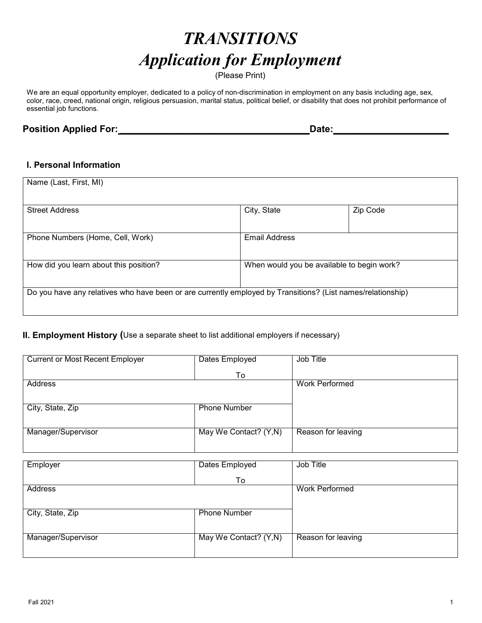# *TRANSITIONS Application for Employment*

(Please Print)

We are an equal opportunity employer, dedicated to a policy of non-discrimination in employment on any basis including age, sex, color, race, creed, national origin, religious persuasion, marital status, political belief, or disability that does not prohibit performance of essential job functions.

# **Position Applied For: \_\_\_\_\_\_\_\_\_\_\_\_\_\_\_\_\_\_\_\_\_\_\_\_\_\_\_\_\_\_\_\_\_\_\_\_Date:\_\_\_\_\_\_\_\_\_\_\_\_\_\_\_\_\_\_\_\_\_\_**

## **I. Personal Information**

| Name (Last, First, MI)                                                                                      |                                            |          |
|-------------------------------------------------------------------------------------------------------------|--------------------------------------------|----------|
| <b>Street Address</b>                                                                                       | City, State                                | Zip Code |
|                                                                                                             |                                            |          |
| Phone Numbers (Home, Cell, Work)                                                                            | <b>Email Address</b>                       |          |
|                                                                                                             |                                            |          |
| How did you learn about this position?                                                                      | When would you be available to begin work? |          |
|                                                                                                             |                                            |          |
| Do you have any relatives who have been or are currently employed by Transitions? (List names/relationship) |                                            |          |
|                                                                                                             |                                            |          |

### **II. Employment History (**Use a separate sheet to list additional employers if necessary)

| <b>Current or Most Recent Employer</b> | Dates Employed        | Job Title             |
|----------------------------------------|-----------------------|-----------------------|
|                                        |                       |                       |
|                                        | To                    |                       |
| Address                                |                       | <b>Work Performed</b> |
|                                        |                       |                       |
|                                        |                       |                       |
| City, State, Zip                       | <b>Phone Number</b>   |                       |
|                                        |                       |                       |
|                                        |                       |                       |
| Manager/Supervisor                     | May We Contact? (Y,N) | Reason for leaving    |
|                                        |                       |                       |
|                                        |                       |                       |
|                                        |                       |                       |
| Employer                               | Dates Employed        | Job Title             |
|                                        |                       |                       |
|                                        | To                    |                       |
| Address                                |                       | <b>Work Performed</b> |
|                                        |                       |                       |
|                                        |                       |                       |
| City, State, Zip                       | <b>Phone Number</b>   |                       |
|                                        |                       |                       |
|                                        |                       |                       |
| Manager/Supervisor                     | May We Contact? (Y,N) | Reason for leaving    |
|                                        |                       |                       |
|                                        |                       |                       |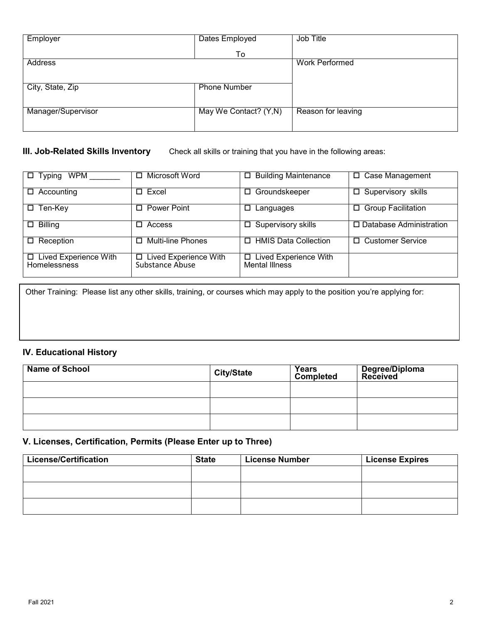| Employer           | Dates Employed        | Job Title             |
|--------------------|-----------------------|-----------------------|
|                    | To                    |                       |
| <b>Address</b>     |                       | <b>Work Performed</b> |
|                    |                       |                       |
| City, State, Zip   | <b>Phone Number</b>   |                       |
|                    |                       |                       |
| Manager/Supervisor | May We Contact? (Y,N) | Reason for leaving    |
|                    |                       |                       |

**III. Job-Related Skills Inventory** Check all skills or training that you have in the following areas:

| $\square$ Typing WPM                           | Microsoft Word<br>□                                  | □ Building Maintenance                    | $\Box$ Case Management    |
|------------------------------------------------|------------------------------------------------------|-------------------------------------------|---------------------------|
| $\Box$ Accounting                              | Excel                                                | □ Groundskeeper                           | □ Supervisory skills      |
| $\Box$ Ten-Key                                 | Power Point                                          | $\Box$<br>Languages                       | □ Group Facilitation      |
| $\Box$ Billing                                 | Access                                               | $\Box$ Supervisory skills                 | □ Database Administration |
| $\Box$ Reception                               | <b>Multi-line Phones</b>                             | □ HMIS Data Collection                    | □ Customer Service        |
| □ Lived Experience With<br><b>Homelessness</b> | <b>Lived Experience With</b><br>0<br>Substance Abuse | □ Lived Experience With<br>Mental Illness |                           |

Other Training: Please list any other skills, training, or courses which may apply to the position you're applying for:

# **IV. Educational History**

| <b>Name of School</b> | <b>City/State</b> | <b>Years</b><br><b>Completed</b> | Degree/Diploma<br>Received |
|-----------------------|-------------------|----------------------------------|----------------------------|
|                       |                   |                                  |                            |
|                       |                   |                                  |                            |
|                       |                   |                                  |                            |

# **V. Licenses, Certification, Permits (Please Enter up to Three)**

| <b>License/Certification</b> | <b>State</b> | <b>License Number</b> | <b>License Expires</b> |
|------------------------------|--------------|-----------------------|------------------------|
|                              |              |                       |                        |
|                              |              |                       |                        |
|                              |              |                       |                        |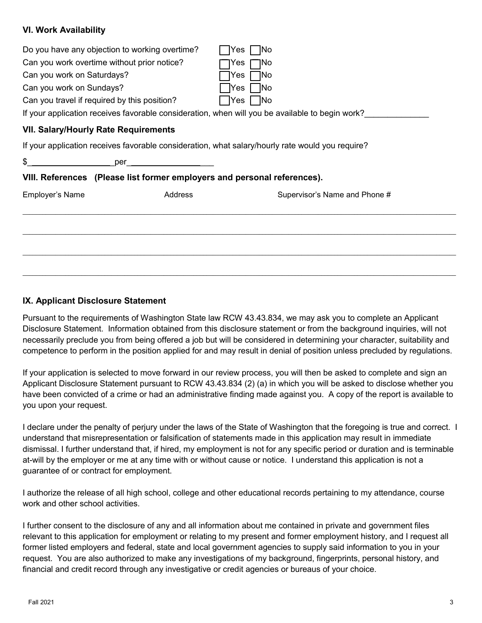## **VI. Work Availability**

|                                              | Do you have any objection to working overtime? | INo<br>Yes.                                                                                      |
|----------------------------------------------|------------------------------------------------|--------------------------------------------------------------------------------------------------|
| Can you work overtime without prior notice?  |                                                | 1No<br>Yes                                                                                       |
| Can you work on Saturdays?                   |                                                | INo<br>Yes.                                                                                      |
| Can you work on Sundays?                     |                                                | <b>INo</b><br>Yes.                                                                               |
| Can you travel if required by this position? |                                                | <b>No</b><br>Yes                                                                                 |
|                                              |                                                | If your application receives favorable consideration, when will you be available to begin work?  |
| <b>VII. Salary/Hourly Rate Requirements</b>  |                                                |                                                                                                  |
|                                              |                                                | If your application receives favorable consideration, what salary/hourly rate would you require? |
| \$                                           |                                                |                                                                                                  |
|                                              |                                                | VIII. References (Please list former employers and personal references).                         |
| <b>Employer's Name</b>                       | Address                                        | Supervisor's Name and Phone #                                                                    |
|                                              |                                                |                                                                                                  |
|                                              |                                                |                                                                                                  |
|                                              |                                                |                                                                                                  |
|                                              |                                                |                                                                                                  |

## **IX. Applicant Disclosure Statement**

Pursuant to the requirements of Washington State law RCW 43.43.834, we may ask you to complete an Applicant Disclosure Statement. Information obtained from this disclosure statement or from the background inquiries, will not necessarily preclude you from being offered a job but will be considered in determining your character, suitability and competence to perform in the position applied for and may result in denial of position unless precluded by regulations.

If your application is selected to move forward in our review process, you will then be asked to complete and sign an Applicant Disclosure Statement pursuant to RCW 43.43.834 (2) (a) in which you will be asked to disclose whether you have been convicted of a crime or had an administrative finding made against you. A copy of the report is available to you upon your request.

I declare under the penalty of perjury under the laws of the State of Washington that the foregoing is true and correct. I understand that misrepresentation or falsification of statements made in this application may result in immediate dismissal. I further understand that, if hired, my employment is not for any specific period or duration and is terminable at-will by the employer or me at any time with or without cause or notice. I understand this application is not a guarantee of or contract for employment.

I authorize the release of all high school, college and other educational records pertaining to my attendance, course work and other school activities.

I further consent to the disclosure of any and all information about me contained in private and government files relevant to this application for employment or relating to my present and former employment history, and I request all former listed employers and federal, state and local government agencies to supply said information to you in your request. You are also authorized to make any investigations of my background, fingerprints, personal history, and financial and credit record through any investigative or credit agencies or bureaus of your choice.